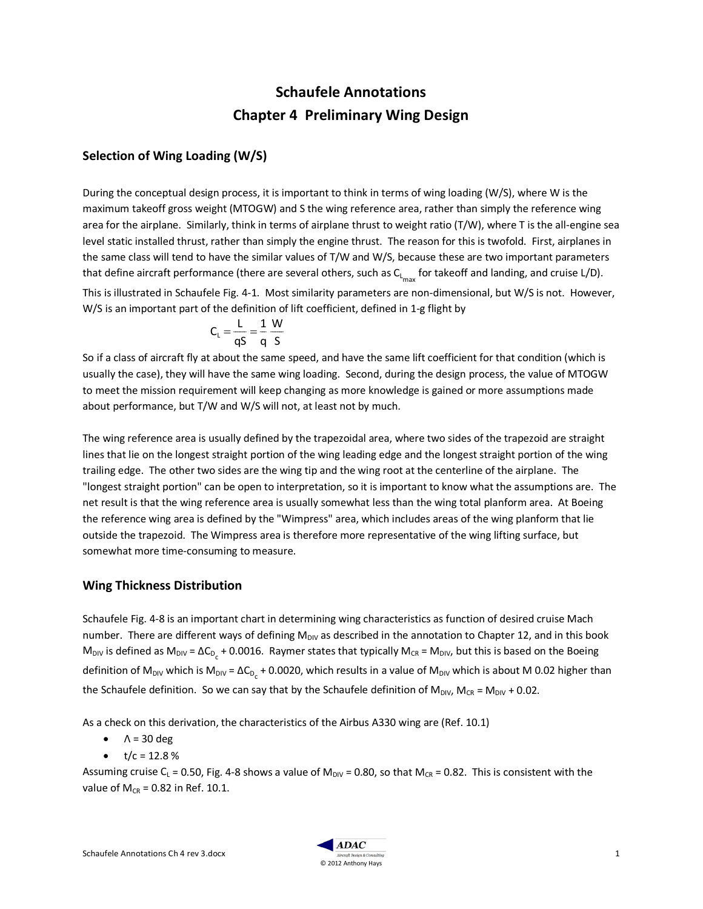# **Schaufele Annotations Chapter 4 Preliminary Wing Design**

# **Selection of Wing Loading (W/S)**

During the conceptual design process, it is important to think in terms of wing loading (W/S), where W is the maximum takeoff gross weight (MTOGW) and S the wing reference area, rather than simply the reference wing area for the airplane. Similarly, think in terms of airplane thrust to weight ratio (T/W), where T is the all-engine sea level static installed thrust, rather than simply the engine thrust. The reason for this is twofold. First, airplanes in the same class will tend to have the similar values of T/W and W/S, because these are two important parameters that define aircraft performance (there are several others, such as C<sub>L<sub>max</sub> for takeoff and landing, and cruise L/D).</sub>

This is illustrated in Schaufele Fig. 4-1. Most similarity parameters are non-dimensional, but W/S is not. However, W/S is an important part of the definition of lift coefficient, defined in 1-g flight by

$$
C_{L} = \frac{L}{qS} = \frac{1}{q} \frac{W}{S}
$$

So if a class of aircraft fly at about the same speed, and have the same lift coefficient for that condition (which is usually the case), they will have the same wing loading. Second, during the design process, the value of MTOGW to meet the mission requirement will keep changing as more knowledge is gained or more assumptions made about performance, but T/W and W/S will not, at least not by much.

The wing reference area is usually defined by the trapezoidal area, where two sides of the trapezoid are straight lines that lie on the longest straight portion of the wing leading edge and the longest straight portion of the wing trailing edge. The other two sides are the wing tip and the wing root at the centerline of the airplane. The "longest straight portion" can be open to interpretation, so it is important to know what the assumptions are. The net result is that the wing reference area is usually somewhat less than the wing total planform area. At Boeing the reference wing area is defined by the "Wimpress" area, which includes areas of the wing planform that lie outside the trapezoid. The Wimpress area is therefore more representative of the wing lifting surface, but somewhat more time-consuming to measure.

#### **Wing Thickness Distribution**

Schaufele Fig. 4-8 is an important chart in determining wing characteristics as function of desired cruise Mach number. There are different ways of defining  $M_{\text{Div}}$  as described in the annotation to Chapter 12, and in this book M<sub>DIV</sub> is defined as M<sub>DIV</sub> =  $\Delta C_{D_x}$  + 0.0016. Raymer states that typically M<sub>CR</sub> = M<sub>DIV</sub>, but this is based on the Boeing definition of M<sub>DIV</sub> which is M<sub>DIV</sub> =  $\Delta C_{D_c}$  + 0.0020, which results in a value of M<sub>DIV</sub> which is about M 0.02 higher than the Schaufele definition. So we can say that by the Schaufele definition of  $M_{\text{DIV}}$ ,  $M_{CR} = M_{\text{DIV}} + 0.02$ .

As a check on this derivation, the characteristics of the Airbus A330 wing are (Ref. 10.1)

- $\bullet$   $\Lambda$  = 30 deg
- $t/c = 12.8%$

Assuming cruise C<sub>L</sub> = 0.50, Fig. 4-8 shows a value of M<sub>DIV</sub> = 0.80, so that M<sub>CR</sub> = 0.82. This is consistent with the value of  $M_{CR} = 0.82$  in Ref. 10.1.

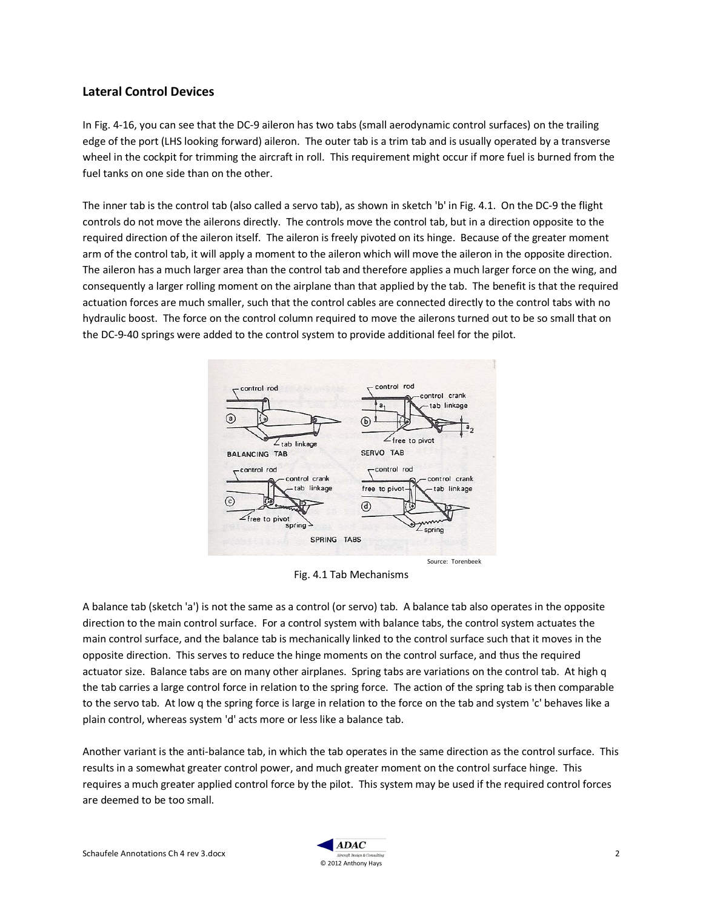## **Lateral Control Devices**

In Fig. 4-16, you can see that the DC-9 aileron has two tabs (small aerodynamic control surfaces) on the trailing edge of the port (LHS looking forward) aileron. The outer tab is a trim tab and is usually operated by a transverse wheel in the cockpit for trimming the aircraft in roll. This requirement might occur if more fuel is burned from the fuel tanks on one side than on the other.

The inner tab is the control tab (also called a servo tab), as shown in sketch 'b' in Fig. 4.1. On the DC-9 the flight controls do not move the ailerons directly. The controls move the control tab, but in a direction opposite to the required direction of the aileron itself. The aileron is freely pivoted on its hinge. Because of the greater moment arm of the control tab, it will apply a moment to the aileron which will move the aileron in the opposite direction. The aileron has a much larger area than the control tab and therefore applies a much larger force on the wing, and consequently a larger rolling moment on the airplane than that applied by the tab. The benefit is that the required actuation forces are much smaller, such that the control cables are connected directly to the control tabs with no hydraulic boost. The force on the control column required to move the ailerons turned out to be so small that on the DC-9-40 springs were added to the control system to provide additional feel for the pilot.



Fig. 4.1 Tab Mechanisms

A balance tab (sketch 'a') is not the same as a control (or servo) tab. A balance tab also operates in the opposite direction to the main control surface. For a control system with balance tabs, the control system actuates the main control surface, and the balance tab is mechanically linked to the control surface such that it moves in the opposite direction. This serves to reduce the hinge moments on the control surface, and thus the required actuator size. Balance tabs are on many other airplanes. Spring tabs are variations on the control tab. At high q the tab carries a large control force in relation to the spring force. The action of the spring tab is then comparable to the servo tab. At low q the spring force is large in relation to the force on the tab and system 'c' behaves like a plain control, whereas system 'd' acts more or less like a balance tab.

Another variant is the anti-balance tab, in which the tab operates in the same direction as the control surface. This results in a somewhat greater control power, and much greater moment on the control surface hinge. This requires a much greater applied control force by the pilot. This system may be used if the required control forces are deemed to be too small.